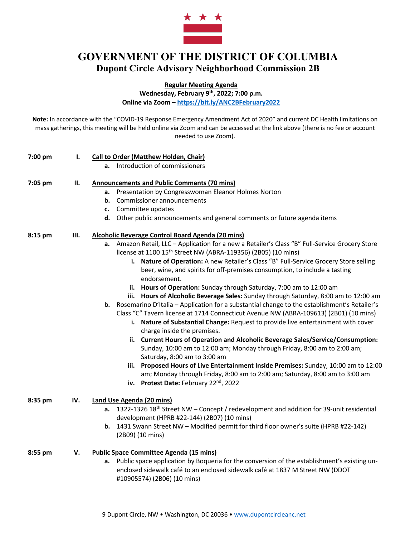

## **GOVERNMENT OF THE DISTRICT OF COLUMBIA Dupont Circle Advisory Neighborhood Commission 2B**

**Regular Meeting Agenda**

**Wednesday, February 9th, 2022; 7:00 p.m.**

**Online via Zoom – https://bit.ly/ANC2BFebruary2022**

**Note:** In accordance with the "COVID-19 Response Emergency Amendment Act of 2020" and current DC Health limitations on mass gatherings, this meeting will be held online via Zoom and can be accessed at the link above (there is no fee or account needed to use Zoom).

| 7:00 pm | ı.  | <b>Call to Order (Matthew Holden, Chair)</b>                                                                                                                                                                                                                                                                                                                        |
|---------|-----|---------------------------------------------------------------------------------------------------------------------------------------------------------------------------------------------------------------------------------------------------------------------------------------------------------------------------------------------------------------------|
|         |     | a. Introduction of commissioners                                                                                                                                                                                                                                                                                                                                    |
| 7:05 pm | П.  | <b>Announcements and Public Comments (70 mins)</b>                                                                                                                                                                                                                                                                                                                  |
|         |     | a. Presentation by Congresswoman Eleanor Holmes Norton                                                                                                                                                                                                                                                                                                              |
|         |     | Commissioner announcements<br>b.                                                                                                                                                                                                                                                                                                                                    |
|         |     | c. Committee updates                                                                                                                                                                                                                                                                                                                                                |
|         |     | d. Other public announcements and general comments or future agenda items                                                                                                                                                                                                                                                                                           |
| 8:15 pm | Ш.  | Alcoholic Beverage Control Board Agenda (20 mins)                                                                                                                                                                                                                                                                                                                   |
|         |     | a. Amazon Retail, LLC - Application for a new a Retailer's Class "B" Full-Service Grocery Store<br>license at 1100 15 <sup>th</sup> Street NW (ABRA-119356) (2B05) (10 mins)<br>i. Nature of Operation: A new Retailer's Class "B" Full-Service Grocery Store selling<br>beer, wine, and spirits for off-premises consumption, to include a tasting<br>endorsement. |
|         |     | ii. Hours of Operation: Sunday through Saturday, 7:00 am to 12:00 am<br>iii. Hours of Alcoholic Beverage Sales: Sunday through Saturday, 8:00 am to 12:00 am<br><b>b.</b> Rosemarino D'Italia - Application for a substantial change to the establishment's Retailer's                                                                                              |
|         |     | Class "C" Tavern license at 1714 Connecticut Avenue NW (ABRA-109613) (2B01) (10 mins)<br>i. Nature of Substantial Change: Request to provide live entertainment with cover<br>charge inside the premises.                                                                                                                                                           |
|         |     | ii. Current Hours of Operation and Alcoholic Beverage Sales/Service/Consumption:<br>Sunday, 10:00 am to 12:00 am; Monday through Friday, 8:00 am to 2:00 am;<br>Saturday, 8:00 am to 3:00 am                                                                                                                                                                        |
|         |     | iii. Proposed Hours of Live Entertainment Inside Premises: Sunday, 10:00 am to 12:00<br>am; Monday through Friday, 8:00 am to 2:00 am; Saturday, 8:00 am to 3:00 am<br>iv. Protest Date: February 22nd, 2022                                                                                                                                                        |
| 8:35 pm | IV. | <b>Land Use Agenda (20 mins)</b>                                                                                                                                                                                                                                                                                                                                    |
|         |     | a. 1322-1326 18 <sup>th</sup> Street NW - Concept / redevelopment and addition for 39-unit residential<br>development (HPRB #22-144) (2B07) (10 mins)                                                                                                                                                                                                               |
|         |     | 1431 Swann Street NW - Modified permit for third floor owner's suite (HPRB #22-142)<br>b.<br>(2B09) (10 mins)                                                                                                                                                                                                                                                       |
| 8:55 pm | v.  | <b>Public Space Committee Agenda (15 mins)</b>                                                                                                                                                                                                                                                                                                                      |
|         |     | a. Public space application by Boqueria for the conversion of the establishment's existing un-<br>enclosed sidewalk café to an enclosed sidewalk café at 1837 M Street NW (DDOT<br>#10905574) (2B06) (10 mins)                                                                                                                                                      |